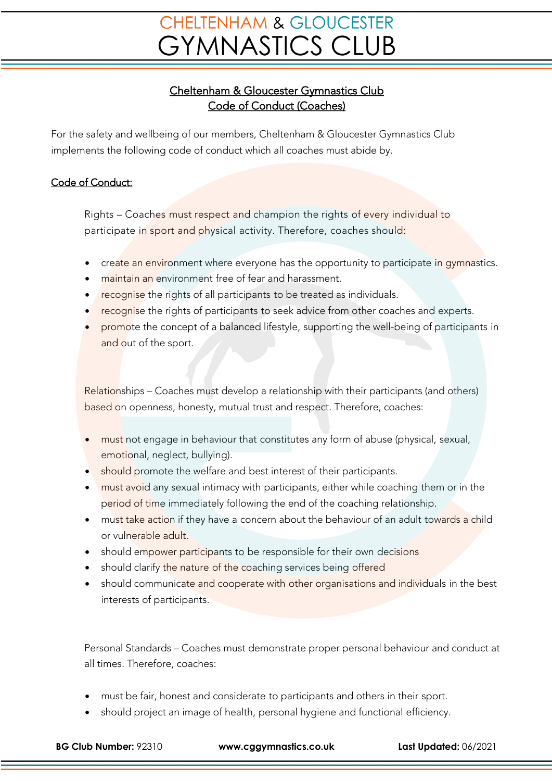## **CHELTENHAM & GLOUCESTER GYMNASTICS CLUB**

## Cheltenham & Gloucester Gymnastics Club Code of Conduct (Coaches)

For the safety and wellbeing of our members, Cheltenham & Gloucester Gymnastics Club implements the following code of conduct which all coaches must abide by.

## Code of Conduct:

Rights – Coaches must respect and champion the rights of every individual to participate in sport and physical activity. Therefore, coaches should:

- create an environment where everyone has the opportunity to participate in gymnastics.
- maintain an environment free of fear and harassment.
- recognise the rights of all participants to be treated as individuals.
- recognise the rights of participants to seek advice from other coaches and experts.
- promote the concept of a balanced lifestyle, supporting the well-being of participants in and out of the sport.

Relationships – Coaches must develop a relationship with their participants (and others) based on openness, honesty, mutual trust and respect. Therefore, coaches:

- must not engage in behaviour that constitutes any form of abuse (physical, sexual, emotional, neglect, bullying).
- should promote the welfare and best interest of their participants.
- must avoid any sexual intimacy with participants, either while coaching them or in the period of time immediately following the end of the coaching relationship.
- must take action if they have a concern about the behaviour of an adult towards a child or vulnerable adult.
- should empower participants to be responsible for their own decisions
- should clarify the nature of the coaching services being offered
- should communicate and cooperate with other organisations and individuals in the best interests of participants.

Personal Standards – Coaches must demonstrate proper personal behaviour and conduct at all times. Therefore, coaches:

- must be fair, honest and considerate to participants and others in their sport.
- should project an image of health, personal hygiene and functional efficiency.